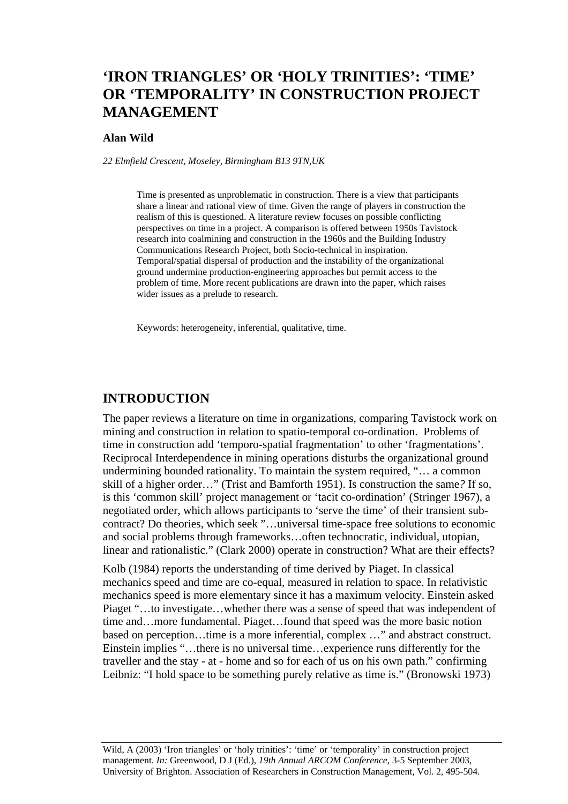# **'IRON TRIANGLES' OR 'HOLY TRINITIES': 'TIME' OR 'TEMPORALITY' IN CONSTRUCTION PROJECT MANAGEMENT**

#### **Alan Wild**

*22 Elmfield Crescent, Moseley, Birmingham B13 9TN,UK* 

Time is presented as unproblematic in construction. There is a view that participants share a linear and rational view of time. Given the range of players in construction the realism of this is questioned. A literature review focuses on possible conflicting perspectives on time in a project. A comparison is offered between 1950s Tavistock research into coalmining and construction in the 1960s and the Building Industry Communications Research Project, both Socio-technical in inspiration. Temporal/spatial dispersal of production and the instability of the organizational ground undermine production-engineering approaches but permit access to the problem of time. More recent publications are drawn into the paper, which raises wider issues as a prelude to research.

Keywords: heterogeneity, inferential, qualitative, time.

#### **INTRODUCTION**

The paper reviews a literature on time in organizations, comparing Tavistock work on mining and construction in relation to spatio-temporal co-ordination. Problems of time in construction add 'temporo-spatial fragmentation' to other 'fragmentations'. Reciprocal Interdependence in mining operations disturbs the organizational ground undermining bounded rationality. To maintain the system required, "… a common skill of a higher order…" (Trist and Bamforth 1951). Is construction the same*?* If so, is this 'common skill' project management or 'tacit co-ordination' (Stringer 1967), a negotiated order, which allows participants to 'serve the time' of their transient subcontract? Do theories, which seek "…universal time-space free solutions to economic and social problems through frameworks…often technocratic, individual, utopian, linear and rationalistic." (Clark 2000) operate in construction? What are their effects?

Kolb (1984) reports the understanding of time derived by Piaget. In classical mechanics speed and time are co-equal, measured in relation to space. In relativistic mechanics speed is more elementary since it has a maximum velocity. Einstein asked Piaget "…to investigate…whether there was a sense of speed that was independent of time and…more fundamental. Piaget…found that speed was the more basic notion based on perception…time is a more inferential, complex …" and abstract construct. Einstein implies "…there is no universal time…experience runs differently for the traveller and the stay - at - home and so for each of us on his own path." confirming Leibniz: "I hold space to be something purely relative as time is." (Bronowski 1973)

Wild, A (2003) 'Iron triangles' or 'holy trinities': 'time' or 'temporality' in construction project management. *In:* Greenwood, D J (Ed.), *19th Annual ARCOM Conference*, 3-5 September 2003, University of Brighton. Association of Researchers in Construction Management, Vol. 2, 495-504.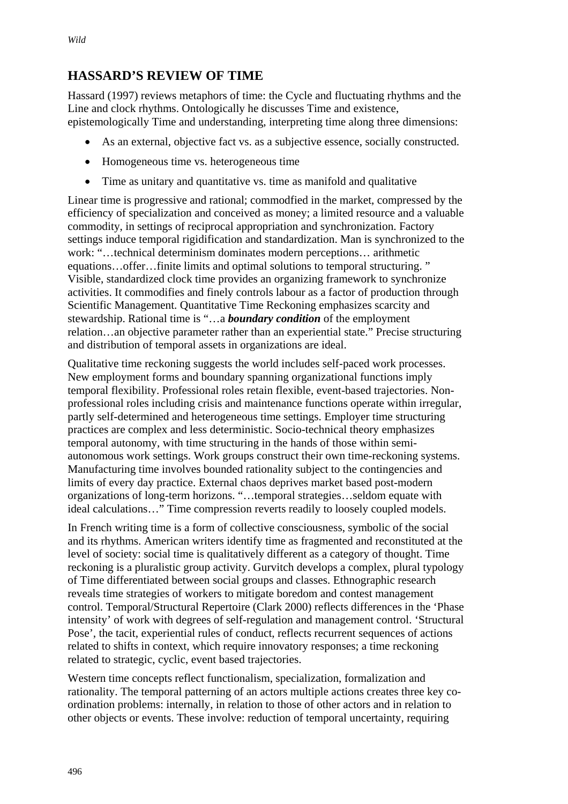## **HASSARD'S REVIEW OF TIME**

Hassard (1997) reviews metaphors of time: the Cycle and fluctuating rhythms and the Line and clock rhythms. Ontologically he discusses Time and existence, epistemologically Time and understanding, interpreting time along three dimensions:

- As an external, objective fact vs. as a subjective essence, socially constructed.
- Homogeneous time vs. heterogeneous time
- Time as unitary and quantitative vs. time as manifold and qualitative

Linear time is progressive and rational; commodfied in the market, compressed by the efficiency of specialization and conceived as money; a limited resource and a valuable commodity, in settings of reciprocal appropriation and synchronization. Factory settings induce temporal rigidification and standardization. Man is synchronized to the work: "…technical determinism dominates modern perceptions… arithmetic equations…offer…finite limits and optimal solutions to temporal structuring. " Visible, standardized clock time provides an organizing framework to synchronize activities. It commodifies and finely controls labour as a factor of production through Scientific Management. Quantitative Time Reckoning emphasizes scarcity and stewardship. Rational time is "…a *boundary condition* of the employment relation…an objective parameter rather than an experiential state." Precise structuring and distribution of temporal assets in organizations are ideal.

Qualitative time reckoning suggests the world includes self-paced work processes. New employment forms and boundary spanning organizational functions imply temporal flexibility. Professional roles retain flexible, event-based trajectories. Nonprofessional roles including crisis and maintenance functions operate within irregular, partly self-determined and heterogeneous time settings. Employer time structuring practices are complex and less deterministic. Socio-technical theory emphasizes temporal autonomy, with time structuring in the hands of those within semiautonomous work settings. Work groups construct their own time-reckoning systems. Manufacturing time involves bounded rationality subject to the contingencies and limits of every day practice. External chaos deprives market based post-modern organizations of long-term horizons. "…temporal strategies…seldom equate with ideal calculations…" Time compression reverts readily to loosely coupled models.

In French writing time is a form of collective consciousness, symbolic of the social and its rhythms. American writers identify time as fragmented and reconstituted at the level of society: social time is qualitatively different as a category of thought. Time reckoning is a pluralistic group activity. Gurvitch develops a complex, plural typology of Time differentiated between social groups and classes. Ethnographic research reveals time strategies of workers to mitigate boredom and contest management control. Temporal/Structural Repertoire (Clark 2000) reflects differences in the 'Phase intensity' of work with degrees of self-regulation and management control. 'Structural Pose', the tacit, experiential rules of conduct, reflects recurrent sequences of actions related to shifts in context, which require innovatory responses; a time reckoning related to strategic, cyclic, event based trajectories.

Western time concepts reflect functionalism, specialization, formalization and rationality. The temporal patterning of an actors multiple actions creates three key coordination problems: internally, in relation to those of other actors and in relation to other objects or events. These involve: reduction of temporal uncertainty, requiring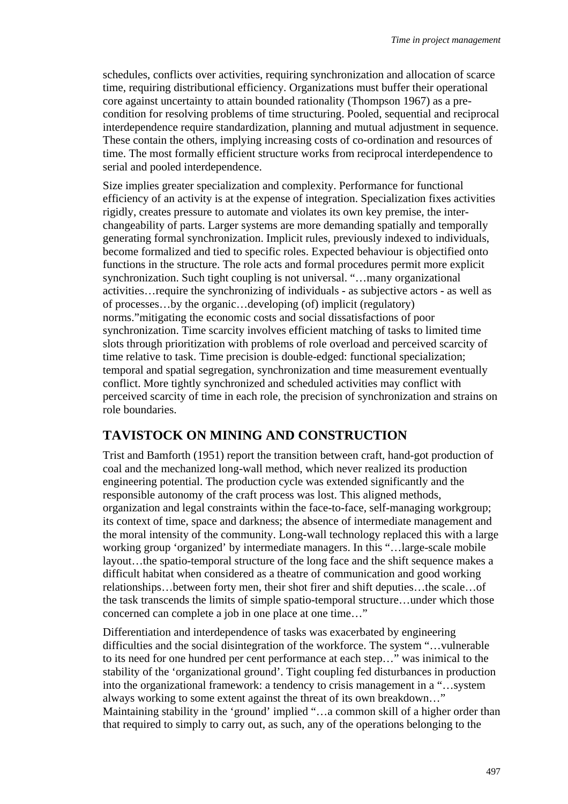schedules, conflicts over activities, requiring synchronization and allocation of scarce time, requiring distributional efficiency. Organizations must buffer their operational core against uncertainty to attain bounded rationality (Thompson 1967) as a precondition for resolving problems of time structuring. Pooled, sequential and reciprocal interdependence require standardization, planning and mutual adjustment in sequence. These contain the others, implying increasing costs of co-ordination and resources of time. The most formally efficient structure works from reciprocal interdependence to serial and pooled interdependence.

Size implies greater specialization and complexity. Performance for functional efficiency of an activity is at the expense of integration. Specialization fixes activities rigidly, creates pressure to automate and violates its own key premise, the interchangeability of parts. Larger systems are more demanding spatially and temporally generating formal synchronization. Implicit rules, previously indexed to individuals, become formalized and tied to specific roles. Expected behaviour is objectified onto functions in the structure. The role acts and formal procedures permit more explicit synchronization. Such tight coupling is not universal. "...many organizational activities…require the synchronizing of individuals - as subjective actors - as well as of processes…by the organic…developing (of) implicit (regulatory) norms."mitigating the economic costs and social dissatisfactions of poor synchronization. Time scarcity involves efficient matching of tasks to limited time slots through prioritization with problems of role overload and perceived scarcity of time relative to task. Time precision is double-edged: functional specialization; temporal and spatial segregation, synchronization and time measurement eventually conflict. More tightly synchronized and scheduled activities may conflict with perceived scarcity of time in each role, the precision of synchronization and strains on role boundaries.

## **TAVISTOCK ON MINING AND CONSTRUCTION**

Trist and Bamforth (1951) report the transition between craft, hand-got production of coal and the mechanized long-wall method, which never realized its production engineering potential. The production cycle was extended significantly and the responsible autonomy of the craft process was lost. This aligned methods, organization and legal constraints within the face-to-face, self-managing workgroup; its context of time, space and darkness; the absence of intermediate management and the moral intensity of the community. Long-wall technology replaced this with a large working group 'organized' by intermediate managers. In this "…large-scale mobile layout…the spatio-temporal structure of the long face and the shift sequence makes a difficult habitat when considered as a theatre of communication and good working relationships…between forty men, their shot firer and shift deputies…the scale…of the task transcends the limits of simple spatio-temporal structure…under which those concerned can complete a job in one place at one time…"

Differentiation and interdependence of tasks was exacerbated by engineering difficulties and the social disintegration of the workforce. The system "…vulnerable to its need for one hundred per cent performance at each step…" was inimical to the stability of the 'organizational ground'. Tight coupling fed disturbances in production into the organizational framework: a tendency to crisis management in a "…system always working to some extent against the threat of its own breakdown…" Maintaining stability in the 'ground' implied "…a common skill of a higher order than that required to simply to carry out, as such, any of the operations belonging to the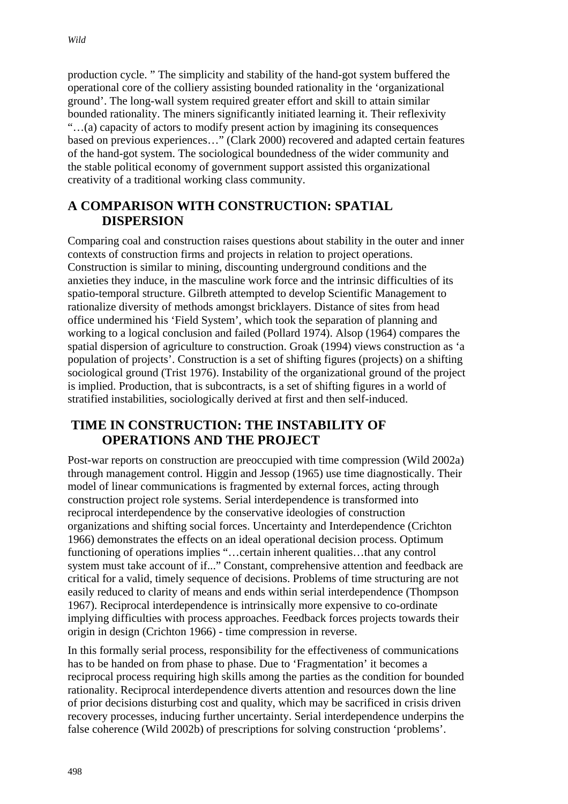production cycle. " The simplicity and stability of the hand-got system buffered the operational core of the colliery assisting bounded rationality in the 'organizational ground'. The long-wall system required greater effort and skill to attain similar bounded rationality. The miners significantly initiated learning it. Their reflexivity "…(a) capacity of actors to modify present action by imagining its consequences based on previous experiences…" (Clark 2000) recovered and adapted certain features of the hand-got system. The sociological boundedness of the wider community and the stable political economy of government support assisted this organizational creativity of a traditional working class community.

### **A COMPARISON WITH CONSTRUCTION: SPATIAL DISPERSION**

Comparing coal and construction raises questions about stability in the outer and inner contexts of construction firms and projects in relation to project operations. Construction is similar to mining, discounting underground conditions and the anxieties they induce, in the masculine work force and the intrinsic difficulties of its spatio-temporal structure. Gilbreth attempted to develop Scientific Management to rationalize diversity of methods amongst bricklayers. Distance of sites from head office undermined his 'Field System', which took the separation of planning and working to a logical conclusion and failed (Pollard 1974). Alsop (1964) compares the spatial dispersion of agriculture to construction. Groak (1994) views construction as 'a population of projects'. Construction is a set of shifting figures (projects) on a shifting sociological ground (Trist 1976). Instability of the organizational ground of the project is implied. Production, that is subcontracts, is a set of shifting figures in a world of stratified instabilities, sociologically derived at first and then self-induced.

### **TIME IN CONSTRUCTION: THE INSTABILITY OF OPERATIONS AND THE PROJECT**

Post-war reports on construction are preoccupied with time compression (Wild 2002a) through management control. Higgin and Jessop (1965) use time diagnostically. Their model of linear communications is fragmented by external forces, acting through construction project role systems. Serial interdependence is transformed into reciprocal interdependence by the conservative ideologies of construction organizations and shifting social forces. Uncertainty and Interdependence (Crichton 1966) demonstrates the effects on an ideal operational decision process. Optimum functioning of operations implies "…certain inherent qualities…that any control system must take account of if..." Constant, comprehensive attention and feedback are critical for a valid, timely sequence of decisions. Problems of time structuring are not easily reduced to clarity of means and ends within serial interdependence (Thompson 1967). Reciprocal interdependence is intrinsically more expensive to co-ordinate implying difficulties with process approaches. Feedback forces projects towards their origin in design (Crichton 1966) - time compression in reverse.

In this formally serial process, responsibility for the effectiveness of communications has to be handed on from phase to phase. Due to 'Fragmentation' it becomes a reciprocal process requiring high skills among the parties as the condition for bounded rationality. Reciprocal interdependence diverts attention and resources down the line of prior decisions disturbing cost and quality, which may be sacrificed in crisis driven recovery processes, inducing further uncertainty. Serial interdependence underpins the false coherence (Wild 2002b) of prescriptions for solving construction 'problems'.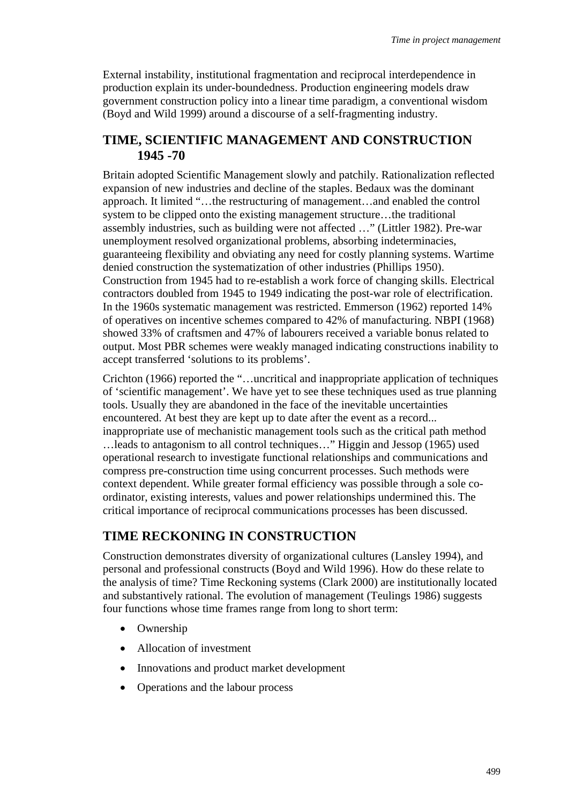External instability, institutional fragmentation and reciprocal interdependence in production explain its under-boundedness. Production engineering models draw government construction policy into a linear time paradigm, a conventional wisdom (Boyd and Wild 1999) around a discourse of a self-fragmenting industry.

#### **TIME, SCIENTIFIC MANAGEMENT AND CONSTRUCTION 1945 -70**

Britain adopted Scientific Management slowly and patchily. Rationalization reflected expansion of new industries and decline of the staples. Bedaux was the dominant approach. It limited "…the restructuring of management…and enabled the control system to be clipped onto the existing management structure…the traditional assembly industries, such as building were not affected …" (Littler 1982). Pre-war unemployment resolved organizational problems, absorbing indeterminacies, guaranteeing flexibility and obviating any need for costly planning systems. Wartime denied construction the systematization of other industries (Phillips 1950). Construction from 1945 had to re-establish a work force of changing skills. Electrical contractors doubled from 1945 to 1949 indicating the post-war role of electrification. In the 1960s systematic management was restricted. Emmerson (1962) reported 14% of operatives on incentive schemes compared to 42% of manufacturing. NBPI (1968) showed 33% of craftsmen and 47% of labourers received a variable bonus related to output. Most PBR schemes were weakly managed indicating constructions inability to accept transferred 'solutions to its problems'.

Crichton (1966) reported the "…uncritical and inappropriate application of techniques of 'scientific management'. We have yet to see these techniques used as true planning tools. Usually they are abandoned in the face of the inevitable uncertainties encountered. At best they are kept up to date after the event as a record... inappropriate use of mechanistic management tools such as the critical path method …leads to antagonism to all control techniques…" Higgin and Jessop (1965) used operational research to investigate functional relationships and communications and compress pre-construction time using concurrent processes. Such methods were context dependent. While greater formal efficiency was possible through a sole coordinator, existing interests, values and power relationships undermined this. The critical importance of reciprocal communications processes has been discussed.

#### **TIME RECKONING IN CONSTRUCTION**

Construction demonstrates diversity of organizational cultures (Lansley 1994), and personal and professional constructs (Boyd and Wild 1996). How do these relate to the analysis of time? Time Reckoning systems (Clark 2000) are institutionally located and substantively rational. The evolution of management (Teulings 1986) suggests four functions whose time frames range from long to short term:

- Ownership
- Allocation of investment
- Innovations and product market development
- Operations and the labour process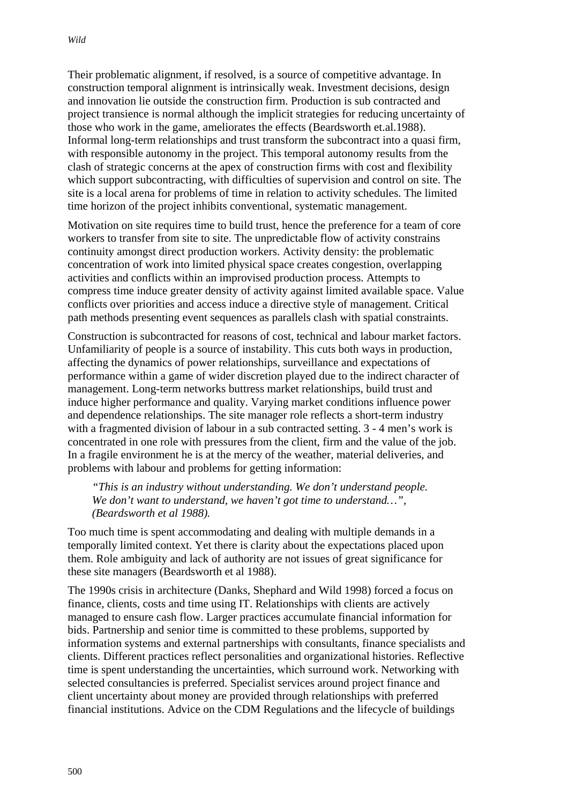Their problematic alignment, if resolved, is a source of competitive advantage. In construction temporal alignment is intrinsically weak. Investment decisions, design and innovation lie outside the construction firm. Production is sub contracted and project transience is normal although the implicit strategies for reducing uncertainty of those who work in the game, ameliorates the effects (Beardsworth et.al.1988). Informal long-term relationships and trust transform the subcontract into a quasi firm, with responsible autonomy in the project. This temporal autonomy results from the clash of strategic concerns at the apex of construction firms with cost and flexibility which support subcontracting, with difficulties of supervision and control on site. The site is a local arena for problems of time in relation to activity schedules. The limited time horizon of the project inhibits conventional, systematic management.

Motivation on site requires time to build trust, hence the preference for a team of core workers to transfer from site to site. The unpredictable flow of activity constrains continuity amongst direct production workers. Activity density: the problematic concentration of work into limited physical space creates congestion, overlapping activities and conflicts within an improvised production process. Attempts to compress time induce greater density of activity against limited available space. Value conflicts over priorities and access induce a directive style of management. Critical path methods presenting event sequences as parallels clash with spatial constraints.

Construction is subcontracted for reasons of cost, technical and labour market factors. Unfamiliarity of people is a source of instability. This cuts both ways in production, affecting the dynamics of power relationships, surveillance and expectations of performance within a game of wider discretion played due to the indirect character of management. Long-term networks buttress market relationships, build trust and induce higher performance and quality. Varying market conditions influence power and dependence relationships. The site manager role reflects a short-term industry with a fragmented division of labour in a sub contracted setting.  $3 - 4$  men's work is concentrated in one role with pressures from the client, firm and the value of the job. In a fragile environment he is at the mercy of the weather, material deliveries, and problems with labour and problems for getting information:

*"This is an industry without understanding. We don't understand people. We don't want to understand, we haven't got time to understand…", (Beardsworth et al 1988).* 

Too much time is spent accommodating and dealing with multiple demands in a temporally limited context. Yet there is clarity about the expectations placed upon them. Role ambiguity and lack of authority are not issues of great significance for these site managers (Beardsworth et al 1988).

The 1990s crisis in architecture (Danks, Shephard and Wild 1998) forced a focus on finance, clients, costs and time using IT. Relationships with clients are actively managed to ensure cash flow. Larger practices accumulate financial information for bids. Partnership and senior time is committed to these problems, supported by information systems and external partnerships with consultants, finance specialists and clients. Different practices reflect personalities and organizational histories. Reflective time is spent understanding the uncertainties, which surround work. Networking with selected consultancies is preferred. Specialist services around project finance and client uncertainty about money are provided through relationships with preferred financial institutions. Advice on the CDM Regulations and the lifecycle of buildings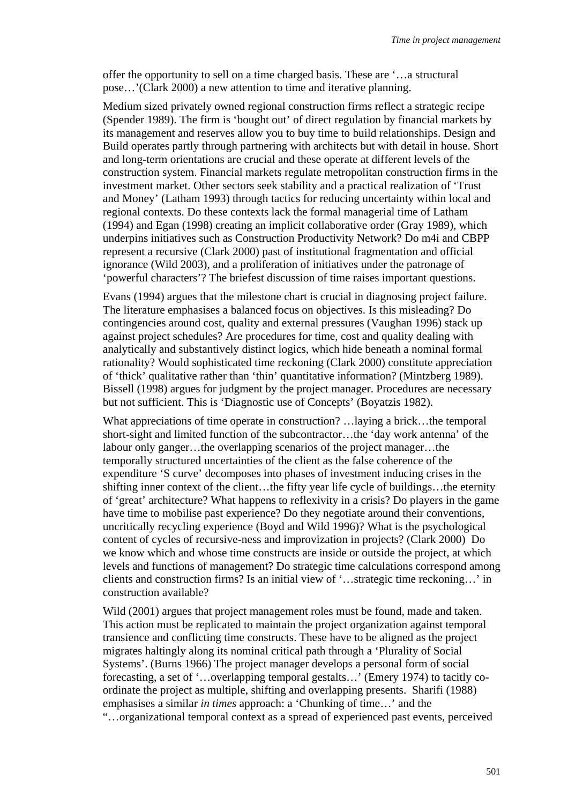offer the opportunity to sell on a time charged basis. These are '…a structural pose…'(Clark 2000) a new attention to time and iterative planning.

Medium sized privately owned regional construction firms reflect a strategic recipe (Spender 1989). The firm is 'bought out' of direct regulation by financial markets by its management and reserves allow you to buy time to build relationships. Design and Build operates partly through partnering with architects but with detail in house. Short and long-term orientations are crucial and these operate at different levels of the construction system. Financial markets regulate metropolitan construction firms in the investment market. Other sectors seek stability and a practical realization of 'Trust and Money' (Latham 1993) through tactics for reducing uncertainty within local and regional contexts. Do these contexts lack the formal managerial time of Latham (1994) and Egan (1998) creating an implicit collaborative order (Gray 1989), which underpins initiatives such as Construction Productivity Network? Do m4i and CBPP represent a recursive (Clark 2000) past of institutional fragmentation and official ignorance (Wild 2003), and a proliferation of initiatives under the patronage of 'powerful characters'? The briefest discussion of time raises important questions.

Evans (1994) argues that the milestone chart is crucial in diagnosing project failure. The literature emphasises a balanced focus on objectives. Is this misleading? Do contingencies around cost, quality and external pressures (Vaughan 1996) stack up against project schedules? Are procedures for time, cost and quality dealing with analytically and substantively distinct logics, which hide beneath a nominal formal rationality? Would sophisticated time reckoning (Clark 2000) constitute appreciation of 'thick' qualitative rather than 'thin' quantitative information? (Mintzberg 1989). Bissell (1998) argues for judgment by the project manager. Procedures are necessary but not sufficient. This is 'Diagnostic use of Concepts' (Boyatzis 1982).

What appreciations of time operate in construction? …laying a brick…the temporal short-sight and limited function of the subcontractor…the 'day work antenna' of the labour only ganger…the overlapping scenarios of the project manager…the temporally structured uncertainties of the client as the false coherence of the expenditure 'S curve' decomposes into phases of investment inducing crises in the shifting inner context of the client…the fifty year life cycle of buildings…the eternity of 'great' architecture? What happens to reflexivity in a crisis? Do players in the game have time to mobilise past experience? Do they negotiate around their conventions, uncritically recycling experience (Boyd and Wild 1996)? What is the psychological content of cycles of recursive-ness and improvization in projects? (Clark 2000) Do we know which and whose time constructs are inside or outside the project, at which levels and functions of management? Do strategic time calculations correspond among clients and construction firms? Is an initial view of '…strategic time reckoning…' in construction available?

Wild (2001) argues that project management roles must be found, made and taken. This action must be replicated to maintain the project organization against temporal transience and conflicting time constructs. These have to be aligned as the project migrates haltingly along its nominal critical path through a 'Plurality of Social Systems'. (Burns 1966) The project manager develops a personal form of social forecasting, a set of '…overlapping temporal gestalts…' (Emery 1974) to tacitly coordinate the project as multiple, shifting and overlapping presents. Sharifi (1988) emphasises a similar *in times* approach: a 'Chunking of time…' and the "…organizational temporal context as a spread of experienced past events, perceived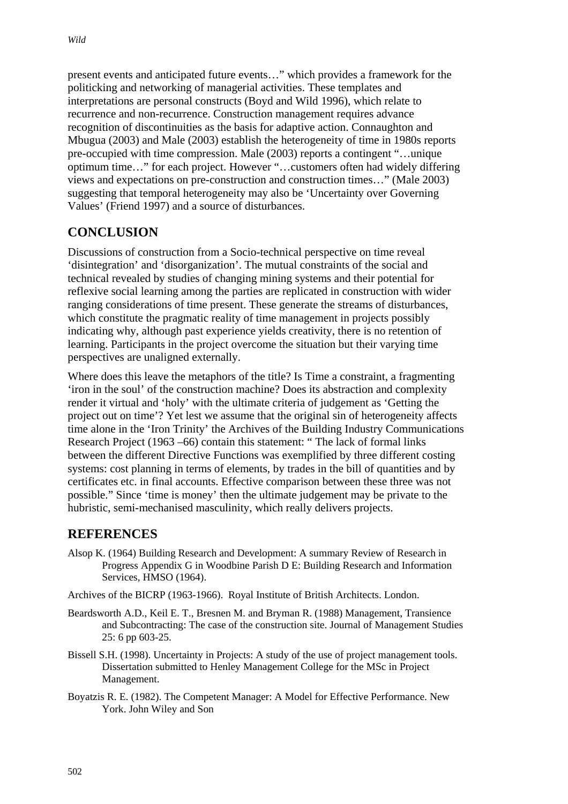present events and anticipated future events…" which provides a framework for the politicking and networking of managerial activities. These templates and interpretations are personal constructs (Boyd and Wild 1996), which relate to recurrence and non-recurrence. Construction management requires advance recognition of discontinuities as the basis for adaptive action. Connaughton and Mbugua (2003) and Male (2003) establish the heterogeneity of time in 1980s reports pre-occupied with time compression. Male (2003) reports a contingent "…unique optimum time…" for each project. However "…customers often had widely differing views and expectations on pre-construction and construction times…" (Male 2003) suggesting that temporal heterogeneity may also be 'Uncertainty over Governing Values' (Friend 1997) and a source of disturbances.

## **CONCLUSION**

Discussions of construction from a Socio-technical perspective on time reveal 'disintegration' and 'disorganization'. The mutual constraints of the social and technical revealed by studies of changing mining systems and their potential for reflexive social learning among the parties are replicated in construction with wider ranging considerations of time present. These generate the streams of disturbances, which constitute the pragmatic reality of time management in projects possibly indicating why, although past experience yields creativity, there is no retention of learning. Participants in the project overcome the situation but their varying time perspectives are unaligned externally.

Where does this leave the metaphors of the title? Is Time a constraint, a fragmenting 'iron in the soul' of the construction machine? Does its abstraction and complexity render it virtual and 'holy' with the ultimate criteria of judgement as 'Getting the project out on time'? Yet lest we assume that the original sin of heterogeneity affects time alone in the 'Iron Trinity' the Archives of the Building Industry Communications Research Project (1963 –66) contain this statement: " The lack of formal links between the different Directive Functions was exemplified by three different costing systems: cost planning in terms of elements, by trades in the bill of quantities and by certificates etc. in final accounts. Effective comparison between these three was not possible." Since 'time is money' then the ultimate judgement may be private to the hubristic, semi-mechanised masculinity, which really delivers projects.

### **REFERENCES**

Alsop K. (1964) Building Research and Development: A summary Review of Research in Progress Appendix G in Woodbine Parish D E: Building Research and Information Services, HMSO (1964).

Archives of the BICRP (1963-1966). Royal Institute of British Architects. London.

- Beardsworth A.D., Keil E. T., Bresnen M. and Bryman R. (1988) Management, Transience and Subcontracting: The case of the construction site. Journal of Management Studies 25: 6 pp 603-25.
- Bissell S.H. (1998). Uncertainty in Projects: A study of the use of project management tools. Dissertation submitted to Henley Management College for the MSc in Project Management.
- Boyatzis R. E. (1982). The Competent Manager: A Model for Effective Performance. New York. John Wiley and Son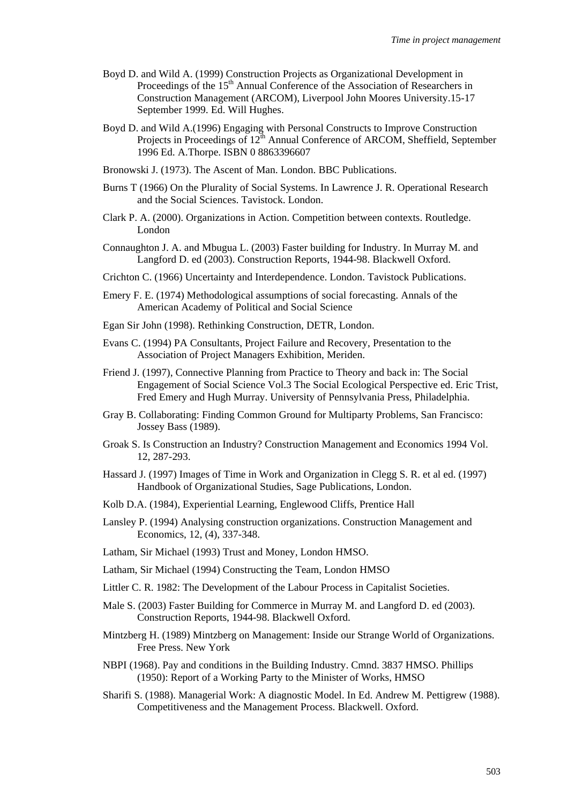- Boyd D. and Wild A. (1999) Construction Projects as Organizational Development in Proceedings of the 15<sup>th</sup> Annual Conference of the Association of Researchers in Construction Management (ARCOM), Liverpool John Moores University.15-17 September 1999. Ed. Will Hughes.
- Boyd D. and Wild A.(1996) Engaging with Personal Constructs to Improve Construction Projects in Proceedings of  $12^{th}$  Annual Conference of ARCOM, Sheffield, September 1996 Ed. A.Thorpe. ISBN 0 8863396607
- Bronowski J. (1973). The Ascent of Man. London. BBC Publications.
- Burns T (1966) On the Plurality of Social Systems. In Lawrence J. R. Operational Research and the Social Sciences. Tavistock. London.
- Clark P. A. (2000). Organizations in Action. Competition between contexts. Routledge. London
- Connaughton J. A. and Mbugua L. (2003) Faster building for Industry. In Murray M. and Langford D. ed (2003). Construction Reports, 1944-98. Blackwell Oxford.
- Crichton C. (1966) Uncertainty and Interdependence. London. Tavistock Publications.
- Emery F. E. (1974) Methodological assumptions of social forecasting. Annals of the American Academy of Political and Social Science
- Egan Sir John (1998). Rethinking Construction, DETR, London.
- Evans C. (1994) PA Consultants, Project Failure and Recovery, Presentation to the Association of Project Managers Exhibition, Meriden.
- Friend J. (1997), Connective Planning from Practice to Theory and back in: The Social Engagement of Social Science Vol.3 The Social Ecological Perspective ed. Eric Trist, Fred Emery and Hugh Murray. University of Pennsylvania Press, Philadelphia.
- Gray B. Collaborating: Finding Common Ground for Multiparty Problems, San Francisco: Jossey Bass (1989).
- Groak S. Is Construction an Industry? Construction Management and Economics 1994 Vol. 12, 287-293.
- Hassard J. (1997) Images of Time in Work and Organization in Clegg S. R. et al ed. (1997) Handbook of Organizational Studies, Sage Publications, London.
- Kolb D.A. (1984), Experiential Learning, Englewood Cliffs, Prentice Hall
- Lansley P. (1994) Analysing construction organizations. Construction Management and Economics, 12, (4), 337-348.
- Latham, Sir Michael (1993) Trust and Money, London HMSO.
- Latham, Sir Michael (1994) Constructing the Team, London HMSO
- Littler C. R. 1982: The Development of the Labour Process in Capitalist Societies.
- Male S. (2003) Faster Building for Commerce in Murray M. and Langford D. ed (2003). Construction Reports, 1944-98. Blackwell Oxford.
- Mintzberg H. (1989) Mintzberg on Management: Inside our Strange World of Organizations. Free Press. New York
- NBPI (1968). Pay and conditions in the Building Industry. Cmnd. 3837 HMSO. Phillips (1950): Report of a Working Party to the Minister of Works, HMSO
- Sharifi S. (1988). Managerial Work: A diagnostic Model. In Ed. Andrew M. Pettigrew (1988). Competitiveness and the Management Process. Blackwell. Oxford.